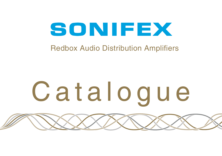# SONIFEX

# Redbox Audio Distribution Amplifiers

# Catalogue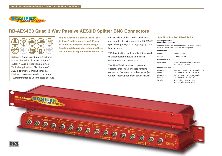

### **RB-AES4B3 Quad 3 Way Passive AES3ID Splitter BNC Connectors**



**Category:** Audio Distribution Amplifiers. **Product Function:** 4 sets of: 1 input, 3 output AES3id distribution amplifier. **Typical Applications:** Distribution of AES3id source to 3 mixing consoles. **Features:** No power needed, can apply  $75\Omega$  termination to unconnected outputs. **The RB-AES4B3 is a passive, quad "oneto-three" splitter housed in a 19" rack. Each bank is designed to split a single AES3ID digital audio source to up to three destinations, using female BNC connectors.** Particularly useful in a video production and broadcast environment, the RB-AES4B3 splits the input signal through high quality transformers.

 $75\Omega$  termination can be applied, if desired, to unconnected outputs to maintain optimum carrier parameters.

The RB-AES4B3 requires no power to operate, ensuring your audio remains connected from source to destination(s) without interruption from power failures.

#### **Specification For RB-AES4B3**

#### **Audio Specification Cable Drive Capability**

Cumulative cable drive canability of 100m of 750 coavial

| Connections                                             |
|---------------------------------------------------------|
| cable at sample rates up to and including 96kHz.        |
| cannature capic anne capability or 2001.1017522 countai |

| Inputs:                       | 4 x BNC female                                                               |  |
|-------------------------------|------------------------------------------------------------------------------|--|
| Outputs:                      | 12 x BNC female                                                              |  |
| <b>Equipment Type</b>         |                                                                              |  |
| RB-AFS4B3                     | Quad 3 way passive AES3ID splitter<br>with BNC connectors.                   |  |
| <b>Physical Specification</b> |                                                                              |  |
| Dimensions<br>(Raw):          | 48cm (W) x 10.8cm (D) x 4.2cm (H) (1U)<br>19" (W) x 4.3" (D) x 1.7" (H) (1U) |  |
| Dimensions<br>(Boxed):        | 58.5cm (W) x 22.5cm (D) x 7cm (H)<br>23" (W) x 8.9" (D) x 2.8" (H)           |  |
| Weight:                       | Nett: 1.0kg Gross: 1.4kg<br>Nett: 2.25lbs Gross: 3.0lbs                      |  |
|                               |                                                                              |  |

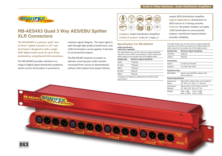

# **RB-AES4X3 Quad 3 Way AES/EBU Splitter XLR Connectors**

**The RB-AES4X3 is a passive, quad "oneto-three" splitter housed in a 19" rack. Each bank is designed to split a single AES3 digital audio source to up to three destinations, using Neutrik XLR connectors.**

The RB-AES4X3 provides solutions to a range of digital signal distribution problems, where correct termination is essential to

maintain signal integrity. The input signal is split through high quality transformers, and 110 $\Omega$  termination can be applied, if desired, to unconnected outputs.

The RB-AES4X3 requires no power to operate, ensuring your audio remains connected from source to destination(s) without interruption from power failures.



**Category:** Audio Distribution Amplifiers. **Product Function:** 4 sets of: 1 input, 3

#### **Specification For RB-AES4X3**

#### **Audio Specification Cable Drive Capability**

The table below sets out the minimum signal amplitude required to drive 100m (cumulative) of  $110\Omega$  twisted pair cable, based on the sample rate of the digital audio:

| <b>Sample Rate</b> | Minimum Signal Amplitude                           |  |
|--------------------|----------------------------------------------------|--|
| 32kHz              | *2Vpk-pk                                           |  |
| 44.1kHz            | *2Vpk-pk                                           |  |
| 48kHz              | *2Vpk-pk                                           |  |
| 88.2kHz            | 5Vpk-pk                                            |  |
| 96kHz              | 5Vpk-pk                                            |  |
|                    | * Minimum of 2Vpk-pk is defined by the AES3 format |  |

specification.

output AES3 distribution amplifier. **Typical Applications:** Distribution of AES3 source to 3 mixing consoles. **Features:** No power needed, can apply 1100 termination to unconnected outputs, transformer based solution provides reliability.

The table below sets out the minimum signal amplitude required to drive 30m (cumulative) of 110Ω twisted pair cable, based on the sample rate of the digital audio:

| Sample Rate                   | <b>Minimum Signal Amplitude</b>                                             |  |  |  |
|-------------------------------|-----------------------------------------------------------------------------|--|--|--|
| 176.4kHz                      | 3Vpk-pk                                                                     |  |  |  |
| 192kHz                        | 3Vpk-pk                                                                     |  |  |  |
| <b>Connections</b>            |                                                                             |  |  |  |
| Inputs:                       | 4 x XLR 3 pin female                                                        |  |  |  |
| Outputs:                      | 12 x XLR 3 pin male                                                         |  |  |  |
| <b>Equipment Type</b>         |                                                                             |  |  |  |
| RB-AES4X3                     | Quad 3 way AES/EBU splitter with<br><b>XLR</b> connectors                   |  |  |  |
| <b>Physical Specification</b> |                                                                             |  |  |  |
| Dimensions<br>(Raw):          | 48cm (W) x 10.8cm (D) x 4.2cm (H)(1U)<br>19" (W) x 4.3" (D) x 1.7" (H) (1U) |  |  |  |
| Dimensions<br>(Boxed):        | 58.5cm (W) x 22.5cm (D) x 7cm (H)<br>23" (W) x 8.9" (D) x 2.8" (H)          |  |  |  |
| Weight:                       | Nett: 1.0kg Gross: 1.4kg<br>Nett: 2.25lbs Gross: 3.0lbs                     |  |  |  |
|                               |                                                                             |  |  |  |

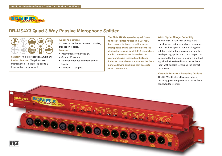

## **RB-MS4X3 Quad 3 Way Passive Microphone Splitter**



**Category:** Audio Distribution Amplifiers. **Product Function:** To split up to 4 microphone or line level signals to 3 independent outputs each.

#### **Typical Applications:**

To share microphones between radio/TV/ production studios.

#### **Features:**

- Passive transformer design.
- Ground lift switch.
- External or looped phantom power inputs.
- Line level -30dB pad.

**The RB-MS4X3 is a passive, quad, "oneto-three" splitter housed in a 19" rack. Each bank is designed to split a single microphone or line source to up to three destinations, using Neutrik XLR connectors. Cable connections are located on the rear panel, with recessed controls and indicators available to the user on the front panel, allowing quick and easy access to setup parameters.**

#### **Wide Signal Range Capability**

The RB-MS4X3 uses high quality audio transformers that are capable of accepting input levels of up to +18dBu, making the splitter useful in both microphone and line level splitting applications. A 30dB pad can be applied to the input, allowing a line level signal to be interfaced into a microphone input with suitable levels and the correct termination.

**Versatile Phantom Powering Options** The RB-MS4X3 offers three methods of providing phantom power to a microphone connected to its input: